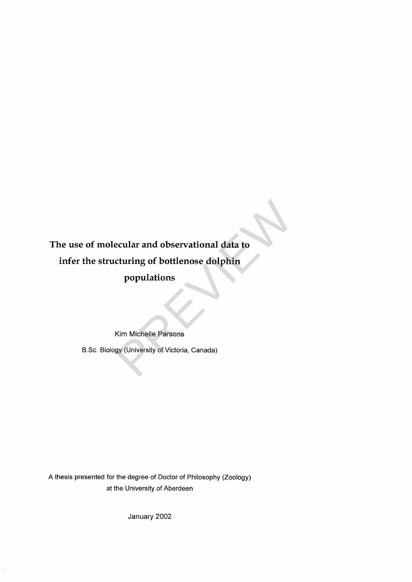**The use of molecular and observational data to infer the structuring of bottlenose dolphin populations** ecular and observational data to<br>cturing of bottlenose dolphin<br>populations<br>Kim Michelle Parsons<br>gy (University of Victoria, Canada)

Kim Michelle Parsons

B.Sc. Biology (University of Victoria, Canada)

A thesis presented for the degree of Doctor of Philosophy (Zoology) at the University of Aberdeen

January 2002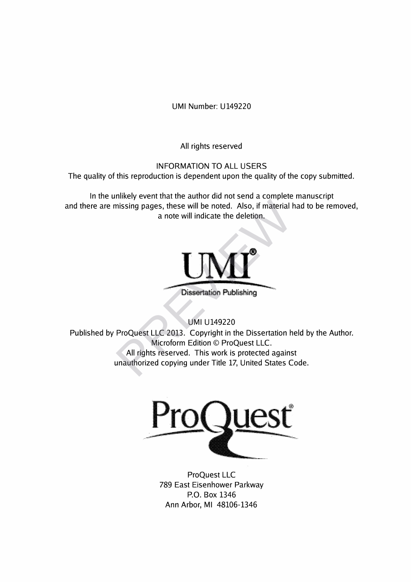UMI Number: U149220

All rights reserved

INFORMATION TO ALL USERS

The quality of this reproduction is dependent upon the quality of the copy submitted.

In the unlikely event that the author did not send a complete manuscript and there are missing pages, these will be noted. Also, if material had to be removed, a note will indicate the deletion.



Dissertation Publishing

UMI U149220

Published by ProQuest LLC 2013. Copyright in the Dissertation held by the Author. Microform Edition © ProQuest LLC. All rights reserved. This work is protected against unauthorized copying under Title 17, United States Code. Missing pages, these will be noted. Also, if material land to the will indicate the deletion.<br>
a note will indicate the deletion.<br>
Dissertation Publishing<br>
UMI U149220<br>
ProQuest LLC 2013. Copyright in the Dissertation h<br>
M



ProQuest LLC 789 East Eisenhower Parkway P.O. Box 1346 Ann Arbor, Ml 48106-1346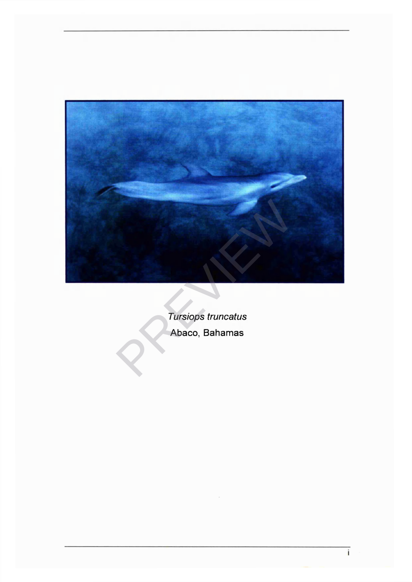

*Tursiops truncatus* Abaco, Bahamas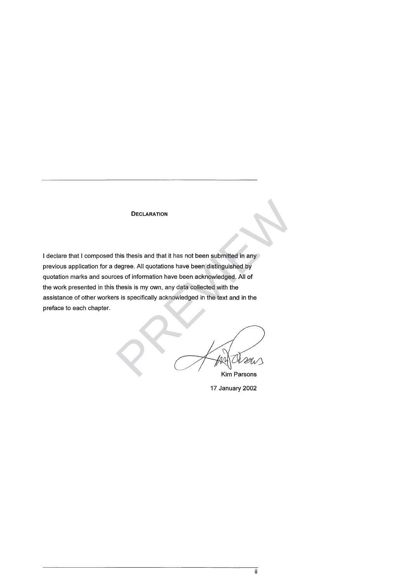# **DECLARATION**

I declare that I composed this thesis and that it has not been submitted in any previous application for a degree. All quotations have been distinguished by quotation marks and sources of information have been acknowledged. All of the work presented in this thesis is my own, any data collected with the assistance of other workers is specifically acknowledged in the text and in the preface to each chapter. DECLARATION<br>this thesis and that it has not been submitted in any<br>degree. All quotations have been distinguished by<br>res of information have been acknowledged. All of<br>thesis is my own, any data collected with the<br>si is spec

Kim Parsons

17 January 2002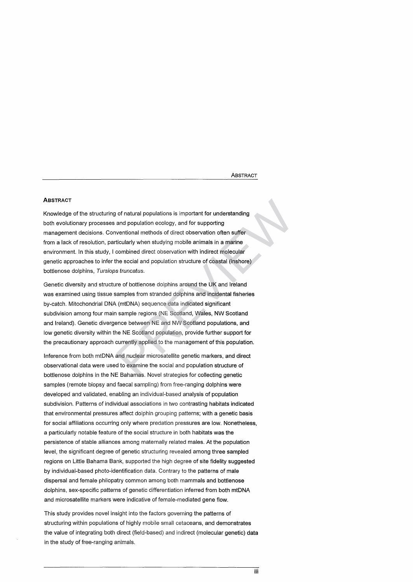**ABSTRACT** 

# **ABSTRACT**

Knowledge of the structuring of natural populations is important for understanding both evolutionary processes and population ecology, and for supporting management decisions. Conventional methods of direct observation often suffer from a lack of resolution, particularly when studying mobile animals in a marine environment. In this study, I combined direct observation with indirect molecular genetic approaches to infer the social and population structure of coastal (inshore) bottlenose dolphins, *Tursiops truncatus.*

Genetic diversity and structure of bottlenose dolphins around the UK and Ireland was examined using tissue samples from stranded dolphins and incidental fisheries by-catch. Mitochondrial DNA (mtDNA) sequence data indicated significant subdivision among four main sample regions (NE Scotland, Wales, NW Scotland and Ireland). Genetic divergence between NE and NW Scotland populations, and low genetic diversity within the NE Scotland population, provide further support for the precautionary approach currently applied to the management of this population. of natural populations is important for understanding<br>and population ecology, and for supporting<br>wentional methods of direct observation often suffer<br>ticularly when studying mobile animals in a marine<br>combined direct obser

Inference from both mtDNA and nuclear microsatellite genetic markers, and direct observational data were used to examine the social and population structure of bottlenose dolphins in the NE Bahamas. Novel strategies for collecting genetic samples (remote biopsy and faecal sampling) from free-ranging dolphins were developed and validated, enabling an individual-based analysis of population subdivision. Patterns of individual associations in two contrasting habitats indicated that environmental pressures affect dolphin grouping patterns; with a genetic basis for social affiliations occurring only where predation pressures are low. Nonetheless, a particularly notable feature of the social structure in both habitats was the persistence of stable alliances among maternally related males. At the population level, the significant degree of genetic structuring revealed among three sampled regions on Little Bahama Bank, supported the high degree of site fidelity suggested by individual-based photo-identification data. Contrary to the patterns of male dispersal and female philopatry common among both mammals and bottlenose dolphins, sex-specific patterns of genetic differentiation inferred from both mtDNA and microsatellite markers were indicative of female-mediated gene flow.

This study provides novel insight into the factors governing the patterns of structuring within populations of highly mobile small cetaceans, and demonstrates the value of integrating both direct (field-based) and indirect (molecular genetic) data in the study of free-ranging animals.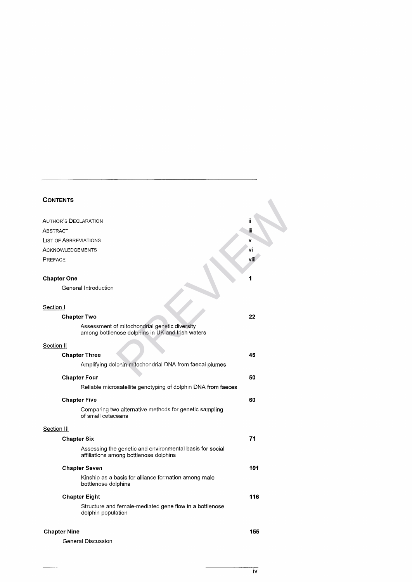# **CONTENTS**

| <b>CONTENTS</b>                                                                                    |      |
|----------------------------------------------------------------------------------------------------|------|
| AUTHOR'S DECLARATION                                                                               | ïi   |
| ABSTRACT                                                                                           | iii  |
| <b>LIST OF ABBREVIATIONS</b>                                                                       | v    |
| ACKNOWLEDGEMENTS                                                                                   | vi   |
| PREFACE                                                                                            | viii |
| <b>Chapter One</b>                                                                                 | 1    |
| General Introduction                                                                               |      |
| Section I                                                                                          |      |
| <b>Chapter Two</b>                                                                                 | 22   |
| Assessment of mitochondrial genetic diversity<br>among bottlenose dolphins in UK and Irish waters  |      |
| Section II                                                                                         |      |
| <b>Chapter Three</b>                                                                               | 45   |
| Amplifying dolphin mitochondrial DNA from faecal plumes                                            |      |
| <b>Chapter Four</b>                                                                                | 50   |
| Reliable microsatellite genotyping of dolphin DNA from faeces                                      |      |
| <b>Chapter Five</b>                                                                                | 60   |
| Comparing two alternative methods for genetic sampling<br>of small cetaceans                       |      |
| Section III                                                                                        |      |
| <b>Chapter Six</b>                                                                                 | 71   |
| Assessing the genetic and environmental basis for social<br>affiliations among bottlenose dolphins |      |
| <b>Chapter Seven</b>                                                                               | 101  |
| Kinship as a basis for alliance formation among male<br>bottlenose dolphins                        |      |
| <b>Chapter Eight</b>                                                                               | 116  |
| Structure and female-mediated gene flow in a bottlenose<br>dolphin population                      |      |
| <b>Chapter Nine</b>                                                                                | 155  |

| General Discussion |
|--------------------|
|                    |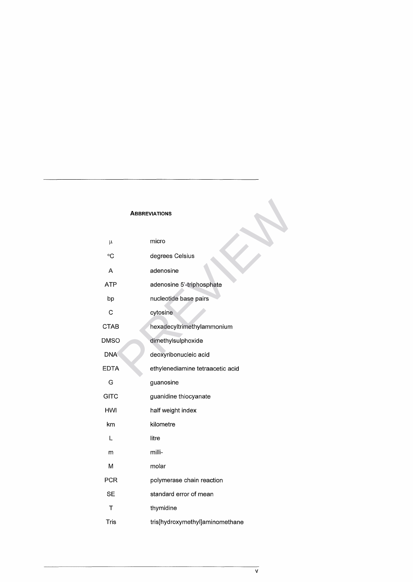# **ABBREVIATIONS**

|             | <b>ABBREVIATIONS</b>             |
|-------------|----------------------------------|
| μ           | micro                            |
| °C          | degrees Celsius                  |
| Α           | adenosine                        |
| <b>ATP</b>  | adenosine 5'-triphosphate        |
| bp          | nucleotide base pairs            |
| C           | cytosine                         |
| <b>CTAB</b> | hexadecyltrimethylammonium       |
| DMSO        | dimethylsulphoxide               |
| <b>DNA</b>  | deoxyribonucleic acid            |
| <b>EDTA</b> | ethylenediamine tetraacetic acid |
| G           | guanosine                        |
| <b>GITC</b> | guanidine thiocyanate            |
| HWI         | half weight index                |
| km          | kilometre                        |
| L           | litre                            |
| m           | milli-                           |
| М           | molar                            |
| <b>PCR</b>  | polymerase chain reaction        |
| <b>SE</b>   | standard error of mean           |
| Т           | thymidine                        |
| Tris        | tris[hydroxymethyl]aminomethane  |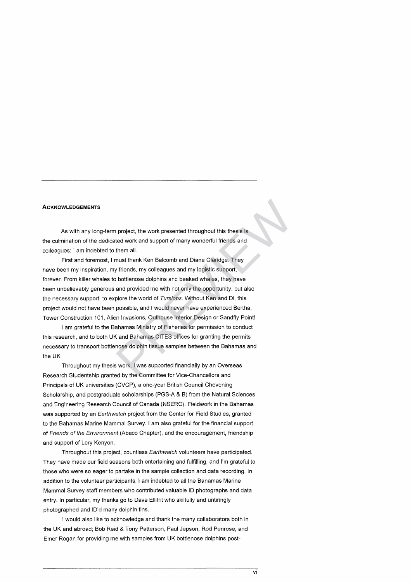# **ACKNOWLEDGEMENTS**

As with any long-term project, the work presented throughout this thesis is the culmination of the dedicated work and support of many wonderful friends and colleagues; I am indebted to them all.

First and foremost, I must thank Ken Balcomb and Diane Claridge. They have been my inspiration, my friends, my colleagues and my logistic support, forever. From killer whales to bottlenose dolphins and beaked whales, they have been unbelievably generous and provided me with not only the opportunity, but also the necessary support, to explore the world of *Tursiops.* Without Ken and Di, this project would not have been possible, and I would never have experienced Bertha, Tower Construction 101, Alien Invasions, Outhouse Interior Design or Sandfly Point! project, the work presented throughout this thesis is<br>ted work and support of many wonderful friends and<br>them all.<br>must thank Ken Balcomb and Diane Claridge. They<br>y friends, my colleagues and my logistic support,<br>bottlenos

I am grateful to the Bahamas Ministry of Fisheries for permission to conduct this research, and to both UK and Bahamas CITES offices for granting the permits necessary to transport bottlenose dolphin tissue samples between the Bahamas and the UK.

Throughout my thesis work, I was supported financially by an Overseas Research Studentship granted by the Committee for Vice-Chancellors and Principals of UK universities (CVCP), a one-year British Council Chevening Scholarship, and postgraduate scholarships (PGS-A & B) from the Natural Sciences and Engineering Research Council of Canada (NSERC). Fieldwork in the Bahamas was supported by an *Earthwatch* project from the Center for Field Studies, granted to the Bahamas Marine Mammal Survey. I am also grateful for the financial support of *Friends of the Environment* (Abaco Chapter), and the encouragement, friendship and support of Lory Kenyon.

Throughout this project, countless *Earthwatch* volunteers have participated. They have made our field seasons both entertaining and fulfilling, and I'm grateful to those who were so eager to partake in the sample collection and data recording. In addition to the volunteer participants, I am indebted to all the Bahamas Marine Mammal Survey staff members who contributed valuable ID photographs and data entry. In particular, my thanks go to Dave Ellifrit who skilfully and untiringly photographed and ID'd many dolphin fins.

I would also like to acknowledge and thank the many collaborators both in the UK and abroad; Bob Reid & Tony Patterson, Paul Jepson, Rod Penrose, and Emer Rogan for providing me with samples from UK bottlenose dolphins post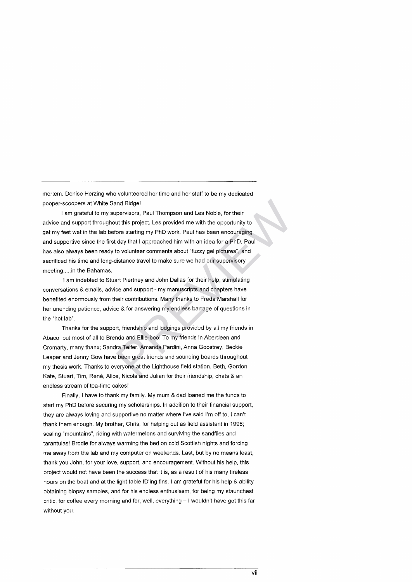mortem. Denise Herzing who volunteered her time and her staff to be my dedicated pooper-scoopers at White Sand Ridge!

I am grateful to my supervisors, Paul Thompson and Les Noble, for their advice and support throughout this project. Les provided me with the opportunity to get my feet wet in the lab before starting my PhD work. Paul has been encouraging and supportive since the first day that I approached him with an idea for a PhD. Paul has also always been ready to volunteer comments about "fuzzy gel pictures", and sacrificed his time and long-distance travel to make sure we had our supervisory meeting.....in the Bahamas. and Ridge!<br>
spervisors, Paul Thompson and Les Noble, for their<br>
this project. Les provided me with the opportunity to<br>
fore starting my PhD work. Paul has been encouraging<br>
tday that I approached him with an idea for a PhD

I am indebted to Stuart Piertney and John Dallas for their help, stimulating conversations & emails, advice and support - my manuscripts and chapters have benefited enormously from their contributions. Many thanks to Freda Marshall for her unending patience, advice & for answering my endless barrage of questions in the "hot lab".

Thanks for the support, friendship and lodgings provided by all my friends in Abaco, but most of all to Brenda and Ellie-boo! To my friends in Aberdeen and Cromarty, many thanx; Sandra Telfer, Amanda Pardini, Anna Goostrey, Beckie Leaper and Jenny Gow have been great friends and sounding boards throughout my thesis work. Thanks to everyone at the Lighthouse field station, Beth, Gordon, Kate, Stuart, Tim, René, Alice, Nicola and Julian for their friendship, chats & an endless stream of tea-time cakes!

Finally, I have to thank my family. My mum & dad loaned me the funds to start my PhD before securing my scholarships. In addition to their financial support, they are always loving and supportive no matter where I've said I'm off to, I can't thank them enough. My brother, Chris, for helping out as field assistant in 1998; scaling "mountains", riding with watermelons and surviving the sandflies and tarantulas! Brodie for always warming the bed on cold Scottish nights and forcing me away from the lab and my computer on weekends. Last, but by no means least, thank you John, for your love, support, and encouragement. Without his help, this project would not have been the success that it is, as a result of his many tireless hours on the boat and at the light table ID'ing fins. I am grateful for his help & ability obtaining biopsy samples, and for his endless enthusiasm, for being my staunchest critic, for coffee every morning and for, well, everything - I wouldn't have got this far without you.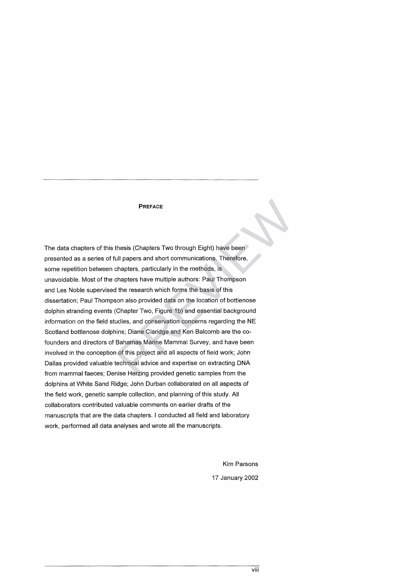# PREFACE

The data chapters of this thesis (Chapters Two through Eight) have been presented as a series of full papers and short communications. Therefore, some repetition between chapters, particularly in the methods, is unavoidable. Most of the chapters have multiple authors: Paul Thompson and Les Noble supervised the research which forms the basis of this dissertation; Paul Thompson also provided data on the location of bottlenose dolphin stranding events (Chapter Two, Figure 1b) and essential background information on the field studies, and conservation concerns regarding the NE Scotland bottlenose dolphins; Diane Claridge and Ken Balcomb are the cofounders and directors of Bahamas Marine Mammal Survey, and have been involved in the conception of this project and all aspects of field work; John Dallas provided valuable technical advice and expertise on extracting DNA from mammal faeces; Denise Herzing provided genetic samples from the dolphins at White Sand Ridge; John Durban collaborated on all aspects of the field work, genetic sample collection, and planning of this study. All collaborators contributed valuable comments on earlier drafts of the manuscripts that are the data chapters. I conducted all field and laboratory work, performed all data analyses and wrote all the manuscripts. **PREFACE**<br>
Ill papers and short communications. Therefore,<br>
Lull papers and short communications. Therefore,<br>
chapters, particularly in the methods, is<br>
chapters have multiple authors: Paul Thompson<br>
It the research which

> Kim Parsons 17 January 2002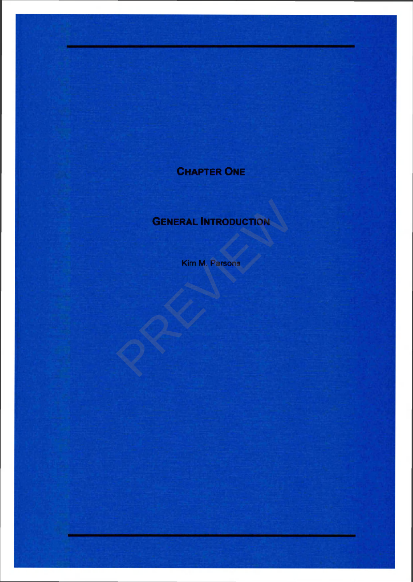# **CHAPTER ONE**

# **GENERAL INTRODUCTION** GENERAL INTRODUCTION

**Kim M. Parsons**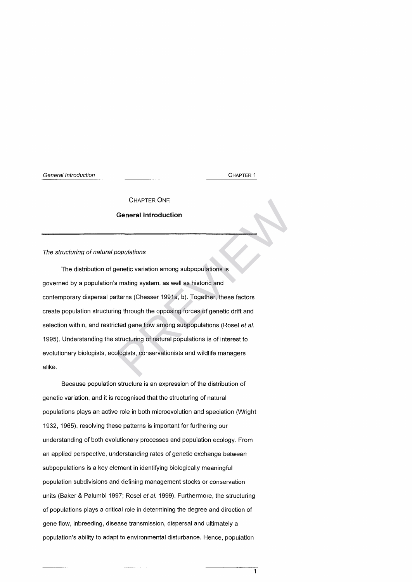# **CHAPTER ONE**

# **General Introduction**

# **The structuring of natural populations**

The distribution of genetic variation among subpopulations is governed by a population's mating system, as well as historic and contemporary dispersal patterns (Chesser 1991a, b). Together, these factors create population structuring through the opposing forces of genetic drift and selection within, and restricted gene flow among subpopulations (Rosel et al. 1995). Understanding the structuring of natural populations is of interest to evolutionary biologists, ecologists, conservationists and wildlife managers alike. CHAPTER ONE<br> **General Introduction**<br>
propulations<br>
spenetic variation among subpopulations is<br>
smating system, as well as historic and<br>
titerns (Chesser 1991a, b). Together, these factors<br>
ng through the opposing forces of

Because population structure is an expression of the distribution of genetic variation, and it is recognised that the structuring of natural populations plays an active role in both microevolution and speciation (Wright 1932, 1965), resolving these patterns is important for furthering our understanding of both evolutionary processes and population ecology. From an applied perspective, understanding rates of genetic exchange between subpopulations is a key element in identifying biologically meaningful population subdivisions and defining management stocks or conservation units (Baker & Palumbi 1997; Rosel et al. 1999). Furthermore, the structuring of populations plays a critical role in determining the degree and direction of gene flow, inbreeding, disease transmission, dispersal and ultimately a population's ability to adapt to environmental disturbance. Hence, population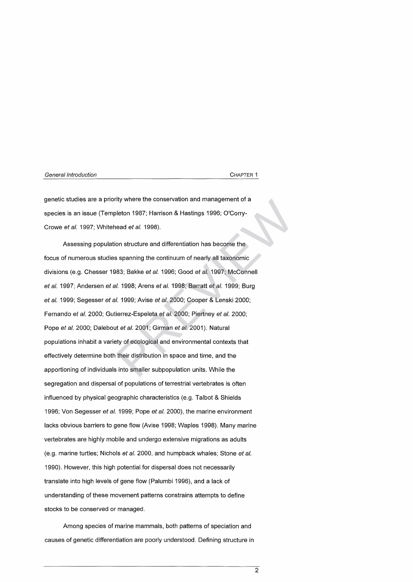genetic studies are a priority where the conservation and management of a species is an issue (Templeton 1987; Harrison & Hastings 1996; O'Corry-Crowe *et al.* 1997; W hitehead *et al.* 1998).

Assessing population structure and differentiation has become the focus of numerous studies spanning the continuum of nearly all taxonomic divisions (e.g. Chesser 1983; Bakke et al. 1996; Good et al. 1997; McConnell *et al.* 1997; Andersen *et al.* 1998; Arens *et al.* 1998; Barratt *et al.* 1999; Burg *et al.* 1999; Segesser *et al.* 1999; Avise *et al.* 2000; Cooper & Lenski 2000; Fernando *et al.* 2000; Gutierrez-Espeleta *et al.* 2000; Piertney *et al.* 2000; Pope *et al.* 2000; Dalebout *et al.* 2001; Girman *et al.* 2001). Natural populations inhabit a variety of ecological and environmental contexts that effectively determine both their distribution in space and time, and the apportioning of individuals into smaller subpopulation units. While the segregation and dispersal of populations of terrestrial vertebrates is often influenced by physical geographic characteristics (e.g. Talbot & Shields 1996; Von Segesser *et al.* 1999; Pope *et al.* 2000), the marine environment lacks obvious barriers to gene flow (Avise 1998; Waples 1998). Many marine vertebrates are highly mobile and undergo extensive migrations as adults (e.g. marine turtles; Nichols *et al.* 2000, and humpback whales; Stone *et al.* 1990). However, this high potential for dispersal does not necessarily translate into high levels of gene flow (Palumbi 1996), and a lack of understanding of these movement patterns constrains attempts to define stocks to be conserved or managed. rity where the conservation and management of a<br>leton 1987; Harrison & Hastings 1996; O'Corry-<br>ead *et al.* 1998).<br>on structure and differentiation has become the<br>spanning the continuum of nearly all taxonomic<br>83; Bakke *e* 

Among species of marine mammals, both patterns of speciation and causes of genetic differentiation are poorly understood. Defining structure in

 $\overline{2}$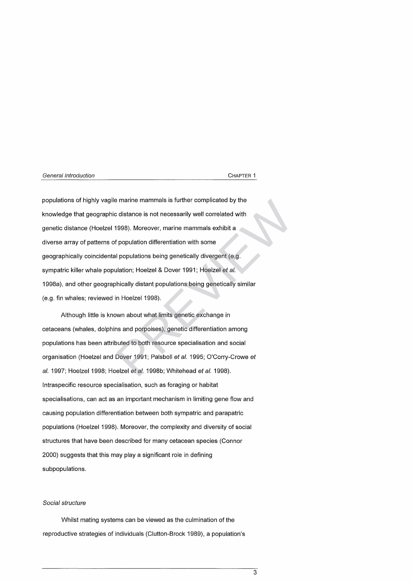populations of highly vagile marine mammals is further complicated by the knowledge that geographic distance is not necessarily well correlated with genetic distance (Hoelzel 1998). Moreover, marine mammals exhibit a diverse array of patterns of population differentiation with some geographically coincidental populations being genetically divergent (e.g. sympatric killer whale population; Hoelzel & Dover 1991; Hoelzel et al. 1998a), and other geographically distant populations being genetically similar (e.g. fin whales; reviewed in Hoelzel 1998). is marine mammals is further complicated by the<br>
c distance is not necessarily well correlated with<br>
1998). Moreover, marine mammals exhibit a<br>
f populations being genetically divergent (e.g.<br>
ulation; Hoelzel & Dover 1991

Although little is known about what limits genetic exchange in cetaceans (whales, dolphins and porpoises), genetic differentiation among populations has been attributed to both resource specialisation and social organisation (Hoelzel and Dover 1991; Palsboll *et al.* 1995; O'Corry-Crowe *et al.* 1997; Hoelzel 1998; Hoelzel *e ta l.* 1998b; W hitehead *et al.* 1998). Intraspecific resource specialisation, such as foraging or habitat specialisations, can act as an important mechanism in limiting gene flow and causing population differentiation between both sympatric and parapatric populations (Hoelzel 1998). Moreover, the complexity and diversity of social structures that have been described for many cetacean species (Connor 2000) suggests that this may play a significant role in defining subpopulations.

# *S ocial structure*

Whilst mating systems can be viewed as the culmination of the reproductive strategies of individuals (Clutton-Brock 1989), a population's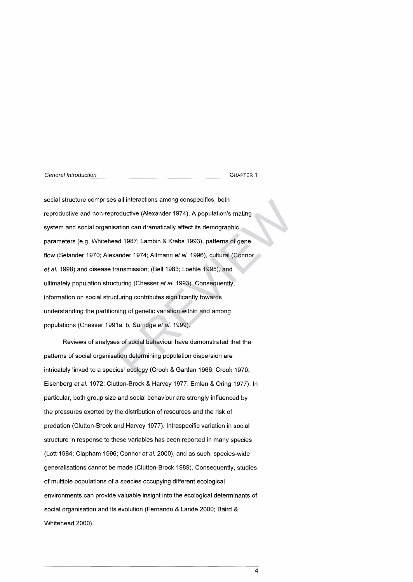social structure comprises all interactions among conspecifics, both reproductive and non-reproductive (Alexander 1974). A population's mating system and social organisation can dramatically affect its demographic parameters (e.g. Whitehead 1987; Lambin & Krebs 1993), patterns of gene flow (Selander 1970; Alexander 1974; Altmann et al. 1996), cultural (Connor et al. 1998) and disease transmission; (Bell 1983; Loehle 1995), and ultim ately population structuring (Chesser *et al.* 1993). Consequently, information on social structuring contributes significantly towards understanding the partitioning of genetic variation within and among populations (Chesser 1991a, b; Surridge *et al.* 1999). all interactions among conspecifics, both<br>
roductive (Alexander 1974). A population's mating<br>
ation can dramatically affect its demographic<br>
ad 1987; Lambin & Krebs 1993), patterns of gene<br>
ander 1974; Altmann *et al.* 199

Reviews of analyses of social behaviour have demonstrated that the patterns of social organisation determining population dispersion are intricately linked to a species' ecology (Crook & Gartlan 1966; Crook 1970; Eisenberg et al. 1972; Clutton-Brock & Harvey 1977; Emlen & Oring 1977). In particular, both group size and social behaviour are strongly influenced by the pressures exerted by the distribution of resources and the risk of predation (Clutton-Brock and Harvey 1977). Intraspecific variation in social structure in response to these variables has been reported in many species (Lott 1984; Clapham 1996; Connor et al. 2000), and as such, species-wide generalisations cannot be made (Clutton-Brock 1989). Consequently, studies of multiple populations of a species occupying different ecological environments can provide valuable insight into the ecological determinants of social organisation and its evolution (Fernando & Lande 2000; Baird & Whitehead 2000).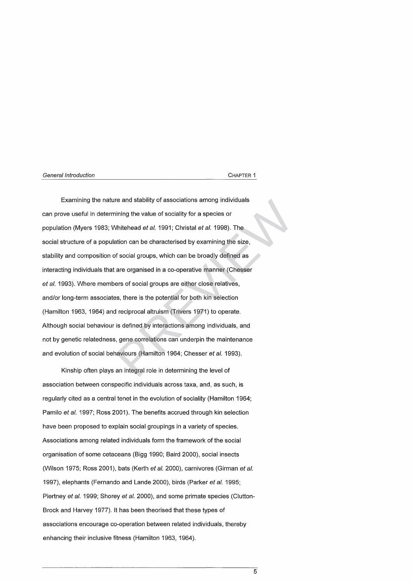Examining the nature and stability of associations among individuals can prove useful in determining the value of sociality for a species or population (Myers 1983; Whitehead *et al.* 1991; Christal *et al.* 1998). The social structure of a population can be characterised by examining the size, stability and composition of social groups, which can be broadly defined as interacting individuals that are organised in a co-operative manner (Chesser et al. 1993). Where members of social groups are either close relatives, and/or long-term associates, there is the potential for both kin selection (Hamilton 1963, 1964) and reciprocal altruism (Trivers 1971) to operate. Although social behaviour is defined by interactions among individuals, and not by genetic relatedness, gene correlations can underpin the maintenance and evolution of social behaviours (Hamilton 1964; Chesser *et al.* 1993). re and stability of associations among individuals<br>ining the value of sociality for a species or<br>Whitehead *et al.* 1991; Christal *et al.* 1998). The<br>ation can be characterised by examining the size,<br>f social groups, whic

Kinship often plays an integral role in determining the level of association between conspecific individuals across taxa, and, as such, is regularly cited as a central tenet in the evolution of sociality (Hamilton 1964; Pamilo *et al.* 1997; Ross 2001). The benefits accrued through kin selection have been proposed to explain social groupings in a variety of species. Associations among related individuals form the framework of the social organisation of some cetaceans (Bigg 1990; Baird 2000), social insects (Wilson 1975; Ross 2001), bats (Kerth *et al.* 2000), carnivores (Girman et al. 1997), elephants (Fernando and Lande 2000), birds (Parker et al. 1995; Piertney *et al.* 1999; Shorey *et al.* 2000), and some primate species (Clutton-Brock and Harvey 1977). It has been theorised that these types of associations encourage co-operation between related individuals, thereby enhancing their inclusive fitness (Hamilton 1963, 1964).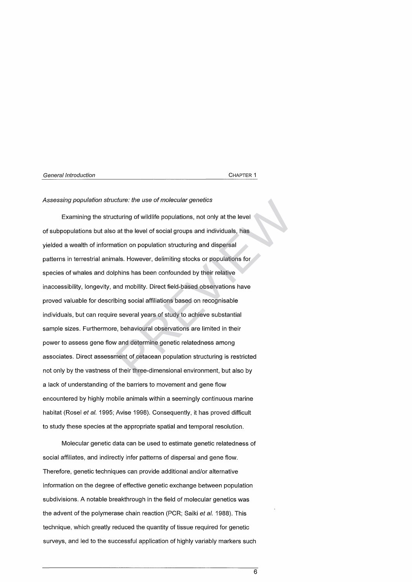# Assessing population structure: the use of molecular genetics

Examining the structuring of wildlife populations, not only at the level of subpopulations but also at the level of social groups and individuals, has yielded a wealth of information on population structuring and dispersal patterns in terrestrial animals. However, delimiting stocks or populations for species of whales and dolphins has been confounded by their relative inaccessibility, longevity, and mobility. Direct field-based observations have proved valuable for describing social affiliations based on recognisable individuals, but can require several years of study to achieve substantial sample sizes. Furthermore, behavioural observations are limited in their power to assess gene flow and determine genetic relatedness among associates. Direct assessment of cetacean population structuring is restricted not only by the vastness of their three-dimensional environment, but also by a lack of understanding of the barriers to movement and gene flow encountered by highly mobile animals within a seemingly continuous marine habitat (Rosel *et al.* 1995; Avise 1998). Consequently, it has proved difficult to study these species at the appropriate spatial and temporal resolution. cture: the use of molecular genetics<br>sturing of wildlife populations, not only at the level<br>at the level of social groups and individuals, has<br>ation on population structuring and dispersal<br>als. However, delimiting stocks o

Molecular genetic data can be used to estimate genetic relatedness of social affiliates, and indirectly infer patterns of dispersal and gene flow. Therefore, genetic techniques can provide additional and/or alternative information on the degree of effective genetic exchange between population subdivisions. A notable breakthrough in the field of molecular genetics was the advent of the polymerase chain reaction (PCR; Saiki *et al.* 1988). This technique, w hich greatly reduced the quantity of tissue required for genetic surveys, and led to the successful application of highly variably markers such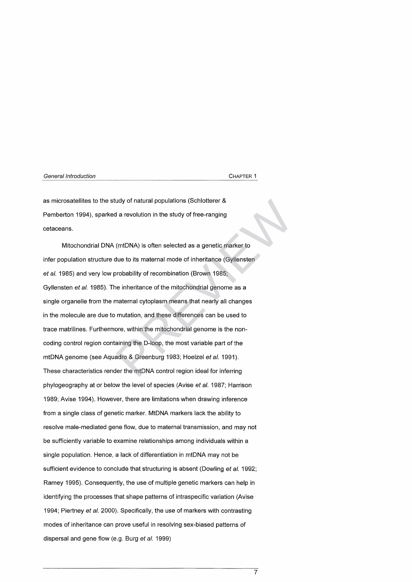as microsatellites to the study of natural populations (Schlotterer & Pemberton 1994), sparked a revolution in the study of free-ranging cetaceans.

Mitochondrial DNA (mtDNA) is often selected as a genetic marker to infer population structure due to its maternal mode of inheritance (Gyllensten et al. 1985) and very low probability of recombination (Brown 1985; Gyllensten *et al.* 1985). The inheritance of the mitochondrial genome as a single organelle from the maternal cytoplasm means that nearly all changes in the molecule are due to mutation, and these differences can be used to trace matrilines. Furthermore, within the mitochondrial genome is the noncoding control region containing the D-loop, the most variable part of the mtDNA genome (see Aquadro & Greenburg 1983; Hoelzel *et al.* 1991). These characteristics render the mtDNA control region ideal for inferring phylogeography at or below the level of species (Avise *et al.* 1987; Harrison 1989; Avise 1994). However, there are limitations when drawing inference from a single class of genetic marker. MtDNA markers lack the ability to resolve male-mediated gene flow, due to maternal transmission, and may not be sufficiently variable to examine relationships among individuals within a single population. Hence, a lack of differentiation in mtDNA may not be sufficient evidence to conclude that structuring is absent (Dowling *et al.* 1992; Ramey 1995). Consequently, the use of multiple genetic markers can help in identifying the processes that shape patterns of intraspecific variation (Avise 1994; Piertney *et al.* 2000). Specifically, the use of markers with contrasting modes of inheritance can prove useful in resolving sex-biased patterns of dispersal and gene flow (e.g. Burg *et al.* 1999) dy of natural populations (Schlotterer &<br>
d a revolution in the study of free-ranging<br>
(mtDNA) is often selected as a genetic marker to<br>
due to its maternal mode of inheritance (Gyllensten<br>
probability of recombination (Br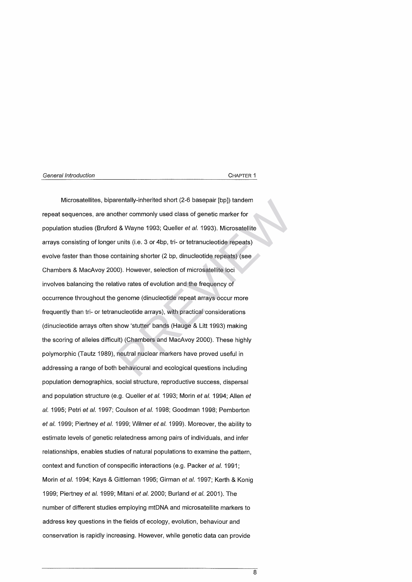Microsatellites, biparentally-inherited short (2-6 basepair [bp]) tandem repeat sequences, are another commonly used class of genetic marker for population studies (Bruford & Wayne 1993; Queller et al. 1993). Microsatellite arrays consisting of longer units (i.e. 3 or 4bp, tri- or tetranucleotide repeats) evolve faster than those containing shorter (2 bp, dinucleotide repeats) (see Chambers & MacAvoy 2000). However, selection of microsatellite loci involves balancing the relative rates of evolution and the frequency of occurrence throughout the genome (dinucleotide repeat arrays occur more frequently than tri- or tetranucleotide arrays), with practical considerations (dinucleotide arrays often show 'stutter' bands (Hauge & Litt 1993) making the scoring of alleles difficult) (Chambers and MacAvoy 2000). These highly polymorphic (Tautz 1989), neutral nuclear markers have proved useful in addressing a range of both behavioural and ecological questions including population demographics, social structure, reproductive success, dispersal and population structure (e.g. Queller *et al.* 1993; Morin *et al.* 1994; Allen *et al.* 1995; Petri *et al.* 1997; Coulson *et al.* 1998; Goodman 1998; Pemberton *et al.* 1999; Piertney *et al.* 1999; Wilmer *et al.* 1999). Moreover, the ability to estim ate levels of genetic relatedness among pairs of individuals, and infer relationships, enables studies of natural populations to examine the pattern, context and function of conspecific interactions (e.g. Packer *et al.* 1991; Morin *et al.* 1994; Kays & Gittleman 1995; Girman *et al.* 1997; Kerth & Konig 1999; Piertney *et al.* 1999; Mitani *et al.* 2000; Burland *et al.* 2001). The number of different studies employing mtDNA and microsatellite markers to address key questions in the fields of ecology, evolution, behaviour and conservation is rapidly increasing. However, while genetic data can provide rentally-inherited short (2-6 basepair [bp]) tandem<br>bther commonly used class of genetic marker for<br>1 & Wayne 1993; Queller *et al.* 1993). Microsatellite<br>units (i.e. 3 or 4bp, tri- or tetranucleotide repeats)<br>bontaining s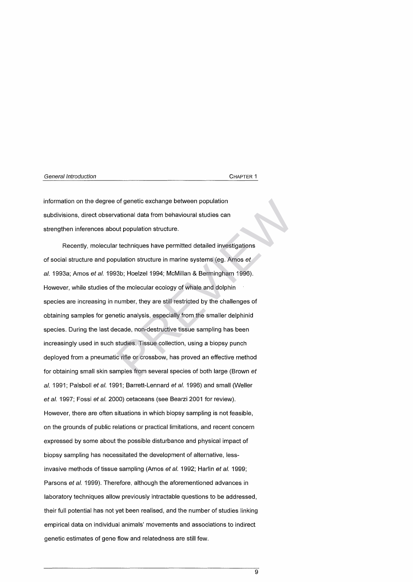information on the degree of genetic exchange between population subdivisions, direct observational data from behavioural studies can strengthen inferences about population structure.

Recently, molecular techniques have permitted detailed investigations of social structure and population structure in marine systems (eg. Amos et al. 1993a; Amos et al. 1993b; Hoelzel 1994; McMillan & Bermingham 1996). However, while studies of the molecular ecology of whale and dolphin species are increasing in number, they are still restricted by the challenges of obtaining samples for genetic analysis, especially from the smaller delphinid species. During the last decade, non-destructive tissue sampling has been increasingly used in such studies. Tissue collection, using a biopsy punch deployed from a pneumatic rifle or crossbow, has proved an effective method for obtaining small skin samples from several species of both large (Brown *et* al. 1991; Palsboll *et al.* 1991; Barrett-Lennard *et al.* 1996) and small (Weller *et al.* 1997; Fossi *et al.* 2000) cetaceans (see Bearzi 2001 for review). However, there are often situations in which biopsy sampling is not feasible, on the grounds of public relations or practical limitations, and recent concern expressed by some about the possible disturbance and physical impact of biopsy sampling has necessitated the development of alternative, lessinvasive methods of tissue sampling (Amos *et al.* 1992; Harlin *et al.* 1999; Parsons et al. 1999). Therefore, although the aforementioned advances in laboratory techniques allow previously intractable questions to be addressed, their full potential has not yet been realised, and the number of studies linking empirical data on individual animals' movements and associations to indirect genetic estimates of gene flow and relatedness are still few. of genetic exchange between population<br>vational data from behavioural studies can<br>ut population structure.<br>r techniques have permitted detailed investigations<br>valuation structure in marine systems (eg. Amos *et*<br>33b; Hoelz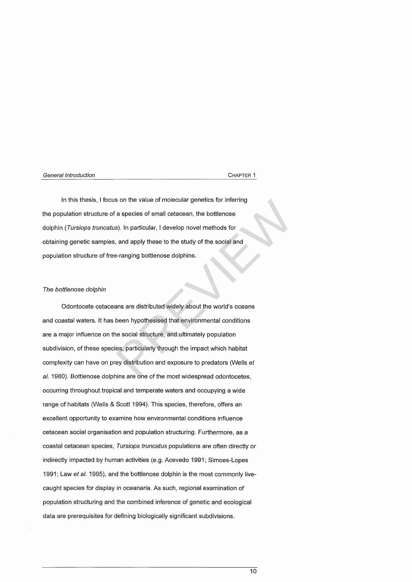In this thesis, I focus on the value of molecular genetics for inferring the population structure of a species of small cetacean, the bottlenose dolphin *(Tursiops truncatus)*. In particular, I develop novel methods for obtaining genetic samples, and apply these to the study of the social and population structure of free-ranging bottlenose dolphins.

# *The bottlenose dolphin*

Odontocete cetaceans are distributed widely about the world's oceans and coastal waters. It has been hypothesised that environmental conditions are a major influence on the social structure, and ultimately population subdivision, of these species, particularly through the impact which habitat complexity can have on prey distribution and exposure to predators (Wells *et* al. 1980). Bottlenose dolphins are one of the most widespread odontocetes, occurring throughout tropical and temperate waters and occupying a wide range of habitats (Wells & Scott 1994). This species, therefore, offers an excellent opportunity to examine how environmental conditions influence cetacean social organisation and population structuring. Furthermore, as a coastal cetacean species, *Tursiops truncatus* populations are often directly or indirectly impacted by human activities (e.g. Acevedo 1991; Simoes-Lopes 1991; Law *et al.* 1995), and the bottlenose dolphin is the most commonly livecaught species for display in oceanaria. As such, regional examination of population structuring and the combined inference of genetic and ecological data are prerequisites for defining biologically significant subdivisions. son the value of molecular genetics for inferring<br>a species of small cetacean, the bottlenose<br>s). In particular, I develop novel methods for<br>and apply these to the study of the social and<br>a-ranging bottlenose dolphins.<br>ans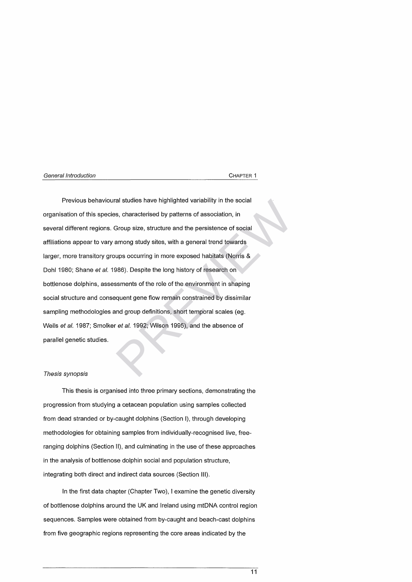Previous behavioural studies have highlighted variability in the social organisation of this species, characterised by patterns of association, in several different regions. Group size, structure and the persistence of social affiliations appear to vary among study sites, with a general trend towards larger, more transitory groups occurring in more exposed habitats (Norris & Dohl 1980; Shane *et al.* 1986). Despite the long history of research on bottlenose dolphins, assessments of the role of the environment in shaping social structure and consequent gene flow remain constrained by dissimilar sampling methodologies and group definitions, short temporal scales (eg. Wells *et al.* 1987; Smolker *et al.* 1992; Wilson 1995), and the absence of parallel genetic studies. al studies have highlighted variability in the social<br>s, characterised by patterns of association, in<br>Group size, structure and the persistence of social<br>among study sites, with a general trend towards<br>ups occurring in mor

# *Thesis synopsis*

This thesis is organised into three primary sections, demonstrating the progression from studying a cetacean population using samples collected from dead stranded or by-caught dolphins (Section I), through developing methodologies for obtaining samples from individually-recognised live, freeranging dolphins (Section II), and culminating in the use of these approaches in the analysis of bottlenose dolphin social and population structure, integrating both direct and indirect data sources (Section III).

In the first data chapter (Chapter Two), I examine the genetic diversity of bottlenose dolphins around the UK and Ireland using mtDNA control region sequences. Samples were obtained from by-caught and beach-cast dolphins from five geographic regions representing the core areas indicated by the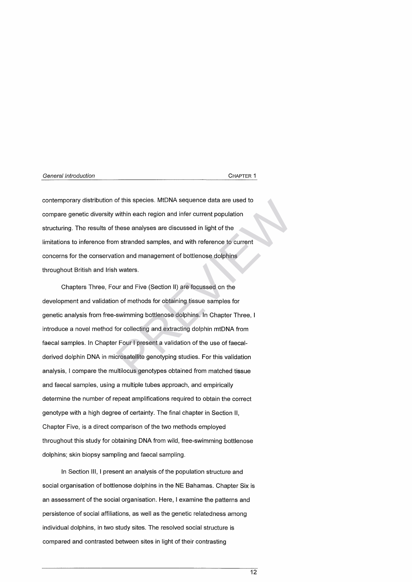contemporary distribution of this species. MtDNA sequence data are used to compare genetic diversity within each region and infer current population structuring. The results of these analyses are discussed in light of the lim itations to inference from stranded samples, and with reference to current concerns for the conservation and management of bottlenose dolphins throughout British and Irish waters.

Chapters Three, Four and Five (Section II) are focussed on the development and validation of methods for obtaining tissue samples for genetic analysis from free-swimming bottlenose dolphins. In Chapter Three, I introduce a novel method for collecting and extracting dolphin mtDNA from faecal samples. In Chapter Four I present a validation of the use of faecalderived dolphin DNA in microsatellite genotyping studies. For this validation analysis, I compare the multilocus genotypes obtained from matched tissue and faecal samples, using a multiple tubes approach, and empirically determine the number of repeat amplifications required to obtain the correct genotype with a high degree of certainty. The final chapter in Section II, Chapter Five, is a direct comparison of the two methods employed throughout this study for obtaining DNA from wild, free-swimming bottlenose dolphins; skin biopsy sampling and faecal sampling. of this species. MtDNA sequence data are used to<br>within each region and infer current population<br>these analyses are discussed in light of the<br>m stranded samples, and with reference to current<br>tion and management of bottlen

In Section III, I present an analysis of the population structure and social organisation of bottlenose dolphins in the NE Bahamas. Chapter Six is an assessment of the social organisation. Here, I examine the patterns and persistence of social affiliations, as well as the genetic relatedness among individual dolphins, in two study sites. The resolved social structure is com pared and contrasted between sites in light of their contrasting